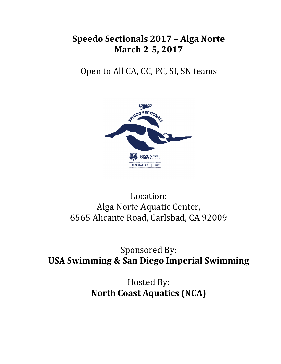# **Speedo Sectionals 2017 – Alga Norte March 2-5, 2017**

Open to All CA, CC, PC, SI, SN teams



# Location: Alga Norte Aquatic Center, 6565 Alicante Road, Carlsbad, CA 92009

# Sponsored By: **USA Swimming & San Diego Imperial Swimming**

Hosted By: **North Coast Aquatics (NCA)**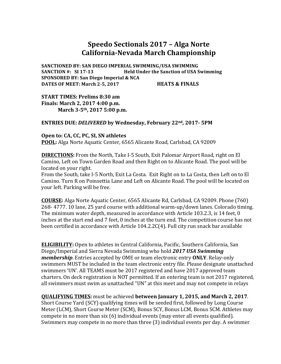## **Speedo Sectionals 2017 – Alga Norte California-Nevada March Championship**

SANCTIONED BY: SAN DIEGO IMPERIAL SWIMMING/USA SWIMMING **SANCTION** #: SI 17-13 **Held Under the Sanction of USA Swimming SPONSORED BY: San Diego Imperial & NCA DATES OF MEET:** March 2-5, 2017 **HEATS & FINALS** 

**START TIMES: Prelims 8:30 am Finals: March 2, 2017 4:00 p.m.** March 3-5<sup>th</sup>, 2017 5:00 p.m.

### ENTRIES DUE: DELIVERED by Wednesday, February 22<sup>nd</sup>, 2017-5PM

**Open to: CA, CC, PC, SI, SN athletes** 

**POOL:** Alga Norte Aquatic Center, 6565 Alicante Road, Carlsbad, CA 92009

**DIRECTIONS:** From the North, Take I-5 South, Exit Palomar Airport Road, right on El Camino, Left on Town Garden Road and then Right on to Alicante Road. The pool will be located on your right.

From the South, take I-5 North, Exit La Costa. Exit Right on to La Costa, then Left on to El Camino. Turn R on Poinsettia Lane and Left on Alicante Road. The pool will be located on your left. Parking will be free.

**COURSE:** Alga Norte Aquatic Center, 6565 Alicante Rd, Carlsbad, CA 92009. Phone (760) 268- 4777. 10 lane, 25 yard course with additional warm-up/down lanes. Colorado timing. The minimum water depth, measured in accordance with Article 103.2.3, is 14 feet, 0 inches at the start end and 7 feet, 0 inches at the turn end. The competition course has not been certified in accordance with Article  $104.2.2C(4)$ . Full city run snack bar available

**ELIGIBILITY:** Open to athletes in Central California, Pacific, Southern California, San Diego/Imperial and Sierra Nevada Swimming who hold 2017 USA Swimming *membership*. Entries accepted by OME or team electronic entry **ONLY**. Relay-only swimmers MUST be included in the team electronic entry file. Please designate unattached swimmers 'UN'. All TEAMS must be 2017 registered and have 2017 approved team charters. On deck registration is NOT permitted. If an entering team is not 2017 registered, all swimmers must swim as unattached "UN" at this meet and may not compete in relays

**QUALIFYING TIMES:** must be achieved **between January 1, 2015, and March 2, 2017**. Short Course Yard (SCY) qualifying times will be seeded first, followed by Long Course Meter (LCM), Short Course Meter (SCM), Bonus SCY, Bonus LCM, Bonus SCM. Athletes may compete in no more than  $six(6)$  individual events (may enter all events qualified). Swimmers may compete in no more than three (3) individual events per day. A swimmer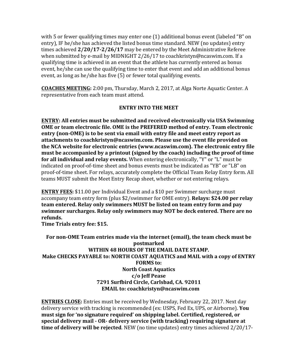with 5 or fewer qualifying times may enter one  $(1)$  additional bonus event (labeled "B" on entry), IF he/she has achieved the listed bonus time standard. NEW (no updates) entry times achieved  $2/20/17-2/26/17$  may be entered by the Meet Administrative Referee when submitted by e-mail by MIDNIGHT  $2/26/17$  to coachkristyn@ncaswim.com. If a qualifying time is achieved in an event that the athlete has currently entered as bonus event, he/she can use the qualifying time to enter that event and add an additional bonus event, as long as he/she has five  $(5)$  or fewer total qualifying events.

**COACHES MEETING:** 2:00 pm, Thursday, March 2, 2017, at Alga Norte Aquatic Center. A representative from each team must attend.

### **ENTRY INTO THE MEET**

**ENTRY:** All entries must be submitted and received electronically via USA Swimming **OME** or team electronic file. OME is the PREFERED method of entry. Team electronic **entry (non-OME)** is to be sent via email with entry file and meet entry report as attachments to coachkristyn@ncaswim.com. Please use the event file provided on the NCA website for electronic entries (www.ncaswim.com). The electronic entry file must be accompanied by a printout (signed by the coach) including the proof of time **for all individual and relay events.** When entering electronically, "Y" or "L" must be indicated on proof-of-time sheet and bonus events must be indicated as "YB" or "LB" on proof-of-time sheet. For relays, accurately complete the Official Team Relay Entry form. All teams MUST submit the Meet Entry Recap sheet, whether or not entering relays.

**ENTRY FEES:** \$11.00 per Individual Event and a \$10 per Swimmer surcharge must accompany team entry form (plus \$2/swimmer for OME entry). **Relays: \$24.00 per relay team entered. Relay only swimmers MUST be listed on team entry form and pay** swimmer surcharges. Relay only swimmers may NOT be deck entered. There are no **refunds.**

**Time Trials entry fee: \$15.** 

For non-OME Team entries made via the internet (email), the team check must be **postmarked** WITHIN 48 HOURS OF THE EMAIL DATE STAMP. **Make CHECKS PAYABLE to: NORTH COAST AQUATICS and MAIL with a copy of ENTRY FORMS** to: **North Coast Aquatics c/o Jeff Pease 7291 Surfbird Circle, Carlsbad, CA. 92011 EMAIL** to: coachkristyn@ncaswim.com

**ENTRIES CLOSE:** Entries must be received by Wednesday, February 22, 2017. Next day delivery service with tracking is recommended (ex: USPS, Fed Ex, UPS, or Airborne). **You** must sign for 'no signature required' on shipping label. Certified, registered, or special delivery mail - OR- delivery service (with tracking) requiring signature at **time of delivery will be rejected**. NEW (no time updates) entry times achieved  $2/20/17$ -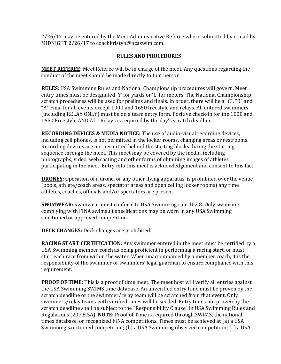$2/26/17$  may be entered by the Meet Administrative Referee where submitted by e-mail by MIDNIGHT 2/26/17 to coachkristyn@ncaswim.com.

### **RULES AND PROCEDURES**

**MEET REFEREE:** Meet Referee will be in charge of the meet. Any questions regarding the conduct of the meet should be made directly to that person.

**RULES:** USA Swimming Rules and National Championship procedures will govern. Meet entry times must be designated 'Y' for vards or 'L' for meters. The National Championship scratch procedures will be used for prelims and finals. In order, there will be a "C", "B" and "A" Final for all events except 1000 and 1650 freestyle and relays. All entered swimmers (including RELAY ONLY) must be on a team entry form. Positive check-in for the 1000 and 1650 Freestyle AND ALL Relays is required by the day's scratch deadline.

**RECORDING DEVICES & MEDIA NOTICE:** The use of audio-visual recording devices, including cell phones, is not permitted in the locker rooms, changing areas or restrooms. Recording devices are not permitted behind the starting blocks during the starting sequence through the meet. This meet may be covered by the media, including photographs, video, web casting and other forms of obtaining images of athletes participating in the meet. Entry into this meet is acknowledgement and consent to this fact.

**DRONES:** Operation of a drone, or any other flying apparatus, is prohibited over the venue (pools, athlete/coach areas, spectator areas and open ceiling locker rooms) any time athletes, coaches, officials and/or spectators are present.

**SWIMWEAR:** Swimwear must conform to USA Swimming rule 102.8. Only swimsuits complying with FINA swimsuit specifications may be worn in any USA Swimming sanctioned or approved competition.

**DECK CHANGES:** Deck changes are prohibited.

**RACING START CERTIFICATION:** Any swimmer entered in the meet must be certified by a USA Swimming member coach as being proficient in performing a racing start, or must start each race from within the water. When unaccompanied by a member coach, it is the responsibility of the swimmer or swimmers' legal guardian to ensure compliance with this requirement. 

**PROOF OF TIME:** This is a proof of time meet. The meet host will verify all entries against the USA Swimming SWIMS time database. An unverified entry time must be proven by the scratch deadline or the swimmer/relay team will be scratched from that event. Only swimmers/relay teams with verified times will be seeded. Entry times not proven by the scratch deadline shall be subject to the "Responsibility Clause" in USA Swimming Rules and Regulations (207.8.5A). **NOTE:** Proof of Time is required through SWIMS, the national times database, or recognized FINA competitions. Times must be achieved at (a) a USA Swimming sanctioned competition; (b) a USA Swimming observed competition; (c) a USA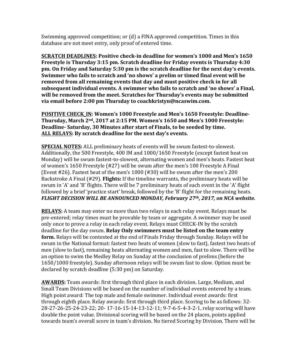Swimming approved competition; or  $(d)$  a FINA approved competition. Times in this database are not meet entry, only proof of entered time.

**SCRATCH DEADLINES: Positive check-in deadline for women's 1000 and Men's 1650 Freestyle is Thursday 3:15 pm. Scratch deadline for Friday events is Thursday 4:30 pm.** On Friday and Saturday 5:30 pm is the scratch deadline for the next day's events. **Swimmer who fails to scratch and 'no shows' a prelim or timed final event will be removed from all remaining events that day and must positive check in for all** subsequent individual events. A swimmer who fails to scratch and 'no shows' a Final, will be removed from the meet. Scratches for Thursday's events may be submitted via email before 2:00 pm Thursday to coachkristyn@ncaswim.com.

**POSITIVE CHECK IN: Women's 1000 Freestyle and Men's 1650 Freestyle: Deadline-**Thursday, March 2<sup>nd</sup>, 2017 at 2:15 PM. Women's 1650 and Men's 1000 Freestyle: **Deadline-** Saturday, 30 Minutes after start of Finals, to be seeded by time. ALL RELAYS: By scratch deadline for the next day's events.

**SPECIAL NOTES:** ALL preliminary heats of events will be swum fastest-to-slowest. Additionally, the 500 Freestyle, 400 IM and 1000/1650 Freestyle (except fastest heat on Monday) will be swum fastest-to-slowest, alternating women and men's heats. Fastest heat of women's  $1650$  Freestyle  $(#27)$  will be swum after the men's  $100$  Freestyle A Final (Event #26). Fastest heat of the men's  $1000$  (#30) will be swum after the men's  $200$ Backstroke A Final (#29). **Flights:** If the timeline warrants, the preliminary heats will be swum in 'A' and 'B' flights. There will be 7 preliminary heats of each event in the 'A' flight followed by a brief 'practice start' break, followed by the 'B' flight for the remaining heats. FLIGHT DECISION WILL BE ANNOUNCED MONDAY, February 27<sup>th</sup>, 2017, on NCA website.

**RELAYS:** A team may enter no more than two relays in each relay event. Relays must be pre-entered; relay times must be provable by team or aggregate. A swimmer may be used only once to prove a relay in each relay event. Relays must CHECK-IN by the scratch deadline for the day swum. **Relay Only swimmers must be listed on the team entry form.** Relays will be contested at the end of Finals Friday through Sunday. Relays will be swum in the National format: fastest two heats of women (slow to fast), fastest two heats of men (slow to fast), remaining heats alternating women and men, fast to slow. There will be an option to swim the Medley Relay on Sunday at the conclusion of prelims (before the 1650/1000 freestyle). Sunday afternoon relays will be swum fast to slow. Option must be declared by scratch deadline (5:30 pm) on Saturday.

**AWARDS:** Team awards: first through third place in each division. Large, Medium, and Small Team Divisions will be based on the number of individual events entered by a team. High point award: The top male and female swimmer. Individual event awards: first through eighth place. Relay awards: first through third place. Scoring to be as follows: 32-28-27-26-25-24-23-22; 20- 17-16-15-14-13-12-11; 9-7-6-5-4-3-2-1, relay scoring will have double the point value. Divisional scoring will be based on the 24 places, points applied towards team's overall score in team's division. No tiered Scoring by Division. There will be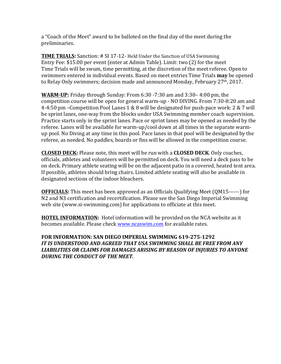a "Coach of the Meet" award to be balloted on the final day of the meet during the preliminaries. 

**TIME TRIALS:** Sanction: # SI 17-12- Held Under the Sanction of USA Swimming Entry Fee: \$15.00 per event (enter at Admin Table). Limit: two (2) for the meet Time Trials will be swum, time permitting, at the discretion of the meet referee. Open to swimmers entered in individual events. Based on meet entries Time Trials **may** be opened to Relay Only swimmers; decision made and announced Monday, February 27<sup>th</sup>, 2017.

**WARM-UP:** Friday through Sunday: From 6:30 -7:30 am and 3:30– 4:00 pm, the competition course will be open for general warm-up - NO DIVING. From 7:30-8:20 am and 4-4:50 pm –Competition Pool Lanes 1 & 8 will be designated for push-pace work: 2 & 7 will be sprint lanes, one-way from the blocks under USA Swimming member coach supervision. Practice starts only in the sprint lanes. Pace or sprint lanes may be opened as needed by the referee. Lanes will be available for warm-up/cool down at all times in the separate warmup pool. No Diving at any time in this pool. Pace lanes in that pool will be designated by the referee, as needed. No paddles, boards or fins will be allowed in the competition course.

**CLOSED DECK:** Please note, this meet will be run with a **CLOSED DECK**. Only coaches, officials, athletes and volunteers will be permitted on deck. You will need a deck pass to be on deck. Primary athlete seating will be on the adjacent patio in a covered, heated tent area. If possible, athletes should bring chairs. Limited athlete seating will also be available in designated sections of the indoor bleachers.

**OFFICIALS:** This meet has been approved as an Officials Qualifying Meet (QM15------) for N2 and N3 certification and recertification. Please see the San Diego Imperial Swimming web site (www.si-swimming.com) for applications to officiate at this meet.

**HOTEL INFORMATION:** Hotel information will be provided on the NCA website as it becomes available. Please check www.ncaswim.com for available rates.

### FOR INFORMATION: SAN DIEGO IMPERIAL SWIMMING 619-275-1292 IT IS UNDERSTOOD AND AGREED THAT USA SWIMMING SHALL BE FREE FROM ANY LIABILITIES OR CLAIMS FOR DAMAGES ARISING BY REASON OF INJURIES TO ANYONE **DURING THE CONDUCT OF THE MEET.**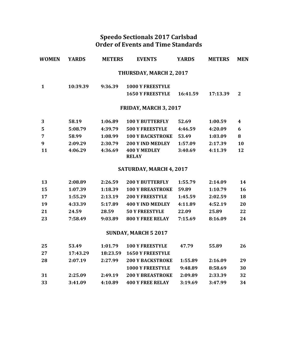### **Speedo Sectionals 2017 Carlsbad Order of Events and Time Standards**

| WOMEN | <b>YARDS</b> | <b>METERS</b> | <b>EVENTS</b>                       | <b>YARDS</b> | <b>METERS</b> | <b>MEN</b> |
|-------|--------------|---------------|-------------------------------------|--------------|---------------|------------|
|       |              |               | THURSDAY, MARCH 2, 2017             |              |               |            |
| 1     | 10:39.39     | 9:36.39       | <b>1000 Y FREESTYLE</b>             |              |               |            |
|       |              |               | <b>1650 Y FREESTYLE</b>             | 16:41.59     | 17:13.39      | 2          |
|       |              |               | <b>FRIDAY, MARCH 3, 2017</b>        |              |               |            |
| 3     | 58.19        | 1:06.89       | <b>100 Y BUTTERFLY</b>              | 52.69        | 1:00.59       | 4          |
| 5     | 5:08.79      | 4:39.79       | <b>500 Y FREESTYLE</b>              | 4:46.59      | 4:20.09       | 6          |
| 7     | 58.99        | 1:08.99       | <b>100 Y BACKSTROKE</b>             | 53.49        | 1:03.09       | 8          |
| 9     | 2:09.29      | 2:30.79       | 200 Y IND MEDLEY                    | 1:57.09      | 2:17.39       | 10         |
| 11    | 4:06.29      | 4:36.69       | <b>400 Y MEDLEY</b><br><b>RELAY</b> | 3:40.69      | 4:11.39       | 12         |

### SATURDAY, MARCH 4, 2017

| 13 | 2:08.89 | 2:26.59 | <b>200 Y BUTTERFLY</b>  | 1:55.79 | 2:14.09 | 14 |
|----|---------|---------|-------------------------|---------|---------|----|
| 15 | 1:07.39 | 1:18.39 | <b>100 Y BREASTROKE</b> | 59.89   | 1:10.79 | 16 |
| 17 | 1:55.29 | 2:13.19 | <b>200 Y FREESTYLE</b>  | 1:45.59 | 2:02.59 | 18 |
| 19 | 4:33.39 | 5:17.89 | 400 Y IND MEDLEY        | 4:11.89 | 4:52.19 | 20 |
| 21 | 24.59   | 28.59   | <b>50 Y FREESTYLE</b>   | 22.09   | 25.89   | 22 |
| 23 | 7:58.49 | 9:03.89 | <b>800 Y FREE RELAY</b> | 7:15.69 | 8:16.09 | 24 |

### **SUNDAY, MARCH 5 2017**

| 25  | 53.49    | 1:01.79 | <b>100 Y FREESTYLE</b>    | 47.79   | 55.89   | 26 |
|-----|----------|---------|---------------------------|---------|---------|----|
| 27  | 17:43.29 |         | 18:23.59 1650 Y FREESTYLE |         |         |    |
| -28 | 2:07.19  | 2:27.99 | <b>200 Y BACKSTROKE</b>   | 1:55.89 | 2:16.09 | 29 |
|     |          |         | <b>1000 Y FREESTYLE</b>   | 9:48.89 | 8:58.69 | 30 |
| -31 | 2.25.09  | 2:49.19 | <b>200 Y BREASTROKE</b>   | 2:09.89 | 2:33.39 | 32 |
| 33  | 3:41.09  | 4:10.89 | <b>400 Y FREE RELAY</b>   | 3:19.69 | 347.99  | 34 |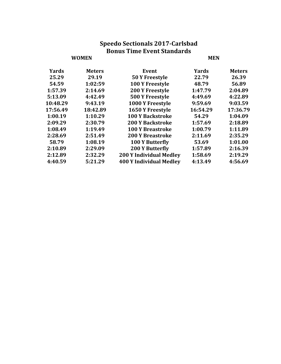### **Speedo Sectionals 2017-Carlsbad Bonus Time Event Standards WOMEN MEN**

| Yards    | <b>Meters</b> | <b>Event</b>                   | Yards    | <b>Meters</b> |
|----------|---------------|--------------------------------|----------|---------------|
| 25.29    | 29.19         | 50 Y Freestyle                 | 22.79    | 26.39         |
| 54.59    | 1:02:59       | 100 Y Freestyle                | 48.79    | 56.89         |
| 1:57.39  | 2:14.69       | <b>200 Y Freestyle</b>         | 1:47.79  | 2:04.89       |
| 5:13.09  | 4:42.49       | <b>500 Y Freestyle</b>         | 4:49.69  | 4:22.89       |
| 10:48.29 | 9:43.19       | 1000 Y Freestyle               | 9:59.69  | 9:03.59       |
| 17:56.49 | 18:42.89      | 1650 Y Freestyle               | 16:54.29 | 17:36.79      |
| 1:00.19  | 1:10.29       | <b>100 Y Backstroke</b>        | 54.29    | 1:04.09       |
| 2:09.29  | 2:30.79       | <b>200 Y Backstroke</b>        | 1:57.69  | 2:18.89       |
| 1:08.49  | 1:19.49       | <b>100 Y Breastroke</b>        | 1:00.79  | 1:11.89       |
| 2:28.69  | 2:51.49       | <b>200 Y Breastroke</b>        | 2:11.69  | 2:35.29       |
| 58.79    | 1:08.19       | 100 Y Butterfly                | 53.69    | 1:01.00       |
| 2:10.89  | 2:29.09       | <b>200 Y Butterfly</b>         | 1:57.89  | 2:16.39       |
| 2:12.89  | 2:32.29       | <b>200 Y Individual Medley</b> | 1:58.69  | 2:19.29       |
| 4:40.59  | 5:21.29       | <b>400 Y Individual Medley</b> | 4:13.49  | 4:56.69       |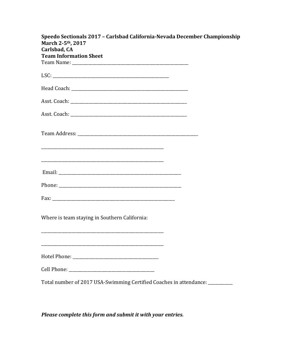| Speedo Sectionals 2017 - Carlsbad California-Nevada December Championship     |  |
|-------------------------------------------------------------------------------|--|
| March 2-5 <sup>th</sup> , 2017<br>Carlsbad, CA                                |  |
| <b>Team Information Sheet</b>                                                 |  |
|                                                                               |  |
|                                                                               |  |
|                                                                               |  |
|                                                                               |  |
|                                                                               |  |
|                                                                               |  |
|                                                                               |  |
|                                                                               |  |
|                                                                               |  |
|                                                                               |  |
| Where is team staying in Southern California:                                 |  |
|                                                                               |  |
|                                                                               |  |
|                                                                               |  |
| Total number of 2017 USA-Swimming Certified Coaches in attendance: __________ |  |

# Please complete this form and submit it with your entries.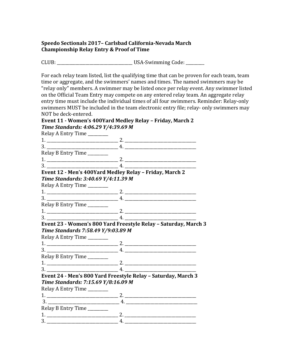### **Speedo Sectionals 2017– Carlsbad California-Nevada March Championship Relay Entry & Proof of Time**

CLUB: \_\_\_\_\_\_\_\_\_\_\_\_\_\_\_\_\_\_\_\_\_\_\_\_\_\_\_\_\_\_\_\_\_\_\_\_\_ USA-Swimming Code: \_\_\_\_\_\_\_\_\_

For each relay team listed, list the qualifying time that can be proven for each team, team time or aggregate, and the swimmers' names and times. The named swimmers may be "relay only" members. A swimmer may be listed once per relay event. Any swimmer listed on the Official Team Entry may compete on any entered relay team. An aggregate relay entry time must include the individual times of all four swimmers. Reminder: Relay-only swimmers MUST be included in the team electronic entry file; relay- only swimmers may NOT be deck-entered.

### **Event 11 · Women's 400Yard Medley Relay – Friday, March 2 Time Standards: 4:06.29 Y/4:39.69 M**

Relay A Entry Time \_\_\_\_\_\_\_\_\_ 1. \_\_\_\_\_\_\_\_\_\_\_\_\_\_\_\_\_\_\_\_\_\_\_\_\_\_\_\_\_\_\_\_\_\_\_ 2. \_\_\_\_\_\_\_\_\_\_\_\_\_\_\_\_\_\_\_\_\_\_\_\_\_\_\_\_\_\_\_\_\_\_\_ 3. \_\_\_\_\_\_\_\_\_\_\_\_\_\_\_\_\_\_\_\_\_\_\_\_\_\_\_\_\_\_\_\_\_\_\_ 4. \_\_\_\_\_\_\_\_\_\_\_\_\_\_\_\_\_\_\_\_\_\_\_\_\_\_\_\_\_\_\_\_\_\_\_ Relay B Entry Time \_\_\_\_\_\_\_\_ 1. \_\_\_\_\_\_\_\_\_\_\_\_\_\_\_\_\_\_\_\_\_\_\_\_\_\_\_\_\_\_\_\_\_\_\_ 2. \_\_\_\_\_\_\_\_\_\_\_\_\_\_\_\_\_\_\_\_\_\_\_\_\_\_\_\_\_\_\_\_\_\_\_  $3.$   $4.$   $4.$   $4.$ Event 12 - Men's 400Yard Medley Relay - Friday, March 2 *Time Standards: 3:40.69 Y/4:11.39 M* Relay A Entry Time \_\_\_\_\_\_\_\_  $1.$   $2.$   $2.$   $3.$   $4.$ 3. \_\_\_\_\_\_\_\_\_\_\_\_\_\_\_\_\_\_\_\_\_\_\_\_\_\_\_\_\_\_\_\_\_\_\_ 4. \_\_\_\_\_\_\_\_\_\_\_\_\_\_\_\_\_\_\_\_\_\_\_\_\_\_\_\_\_\_\_\_\_\_\_ Relay B Entry Time 1. \_\_\_\_\_\_\_\_\_\_\_\_\_\_\_\_\_\_\_\_\_\_\_\_\_\_\_\_\_\_\_\_\_\_\_ 2. \_\_\_\_\_\_\_\_\_\_\_\_\_\_\_\_\_\_\_\_\_\_\_\_\_\_\_\_\_\_\_\_\_\_\_  $3. \t\t 4.$ **Event 23 - Women's 800 Yard Freestyle Relay – Saturday, March 3** *Time Standards 7:58.49 Y/9:03.89 M*  Relay A Entry Time \_\_\_\_\_\_\_\_ 1. \_\_\_\_\_\_\_\_\_\_\_\_\_\_\_\_\_\_\_\_\_\_\_\_\_\_\_\_\_\_\_\_\_\_\_ 2. \_\_\_\_\_\_\_\_\_\_\_\_\_\_\_\_\_\_\_\_\_\_\_\_\_\_\_\_\_\_\_\_\_\_\_ 3. \_\_\_\_\_\_\_\_\_\_\_\_\_\_\_\_\_\_\_\_\_\_\_\_\_\_\_\_\_\_\_\_\_\_\_ 4. \_\_\_\_\_\_\_\_\_\_\_\_\_\_\_\_\_\_\_\_\_\_\_\_\_\_\_\_\_\_\_\_\_\_\_ Relay B Entry Time \_\_\_\_\_\_\_\_ 1. \_\_\_\_\_\_\_\_\_\_\_\_\_\_\_\_\_\_\_\_\_\_\_\_\_\_\_\_\_\_\_\_\_\_\_ 2. \_\_\_\_\_\_\_\_\_\_\_\_\_\_\_\_\_\_\_\_\_\_\_\_\_\_\_\_\_\_\_\_\_\_\_ 3. \_\_\_\_\_\_\_\_\_\_\_\_\_\_\_\_\_\_\_\_\_\_\_\_\_\_\_\_\_\_\_\_\_\_\_ 4. \_\_\_\_\_\_\_\_\_\_\_\_\_\_\_\_\_\_\_\_\_\_\_\_\_\_\_\_\_\_\_\_\_\_\_ Event 24 - Men's 800 Yard Freestyle Relay - Saturday, March 3 *Time Standards: 7:15.69 Y/8:16.09 M*  Relay A Entry Time \_\_\_\_\_\_\_\_ 1. \_\_\_\_\_\_\_\_\_\_\_\_\_\_\_\_\_\_\_\_\_\_\_\_\_\_\_\_\_\_\_\_\_\_\_ 2. \_\_\_\_\_\_\_\_\_\_\_\_\_\_\_\_\_\_\_\_\_\_\_\_\_\_\_\_\_\_\_\_\_\_\_  $\overline{3.}$   $\overline{1.}$   $\overline{2.}$   $\overline{4.}$   $\overline{4.}$   $\overline{4.}$   $\overline{4.}$   $\overline{4.}$   $\overline{4.}$   $\overline{4.}$   $\overline{4.}$   $\overline{4.}$   $\overline{4.}$   $\overline{4.}$   $\overline{4.}$   $\overline{4.}$   $\overline{4.}$   $\overline{4.}$   $\overline{4.}$   $\overline{4.}$   $\overline{4.}$   $\overline{4.}$  Relay B Entry Time \_\_\_\_\_\_\_\_ 1. \_\_\_\_\_\_\_\_\_\_\_\_\_\_\_\_\_\_\_\_\_\_\_\_\_\_\_\_\_\_\_\_\_\_\_ 2. \_\_\_\_\_\_\_\_\_\_\_\_\_\_\_\_\_\_\_\_\_\_\_\_\_\_\_\_\_\_\_\_\_\_\_ 3. \_\_\_\_\_\_\_\_\_\_\_\_\_\_\_\_\_\_\_\_\_\_\_\_\_\_\_\_\_\_\_\_\_\_\_ 4. \_\_\_\_\_\_\_\_\_\_\_\_\_\_\_\_\_\_\_\_\_\_\_\_\_\_\_\_\_\_\_\_\_\_\_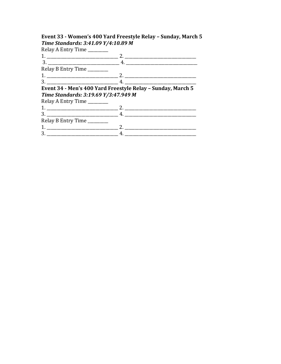# Event 33 - Women's 400 Yard Freestyle Relay - Sunday, March 5<br>Time Standards: 3:41.09 Y/4:10.89 M

Relay A Entry Time

| 3                                    |                                                             |
|--------------------------------------|-------------------------------------------------------------|
| Relay B Entry Time                   |                                                             |
|                                      | $1.$ $2.$ $2.$                                              |
|                                      |                                                             |
|                                      | Event 34 - Men's 400 Yard Freestyle Relay - Sunday, March 5 |
| Time Standards: 3:19.69 Y/3:47.949 M |                                                             |
| Relay A Entry Time                   |                                                             |
|                                      |                                                             |
|                                      |                                                             |
| Relay B Entry Time                   |                                                             |
|                                      |                                                             |
|                                      |                                                             |